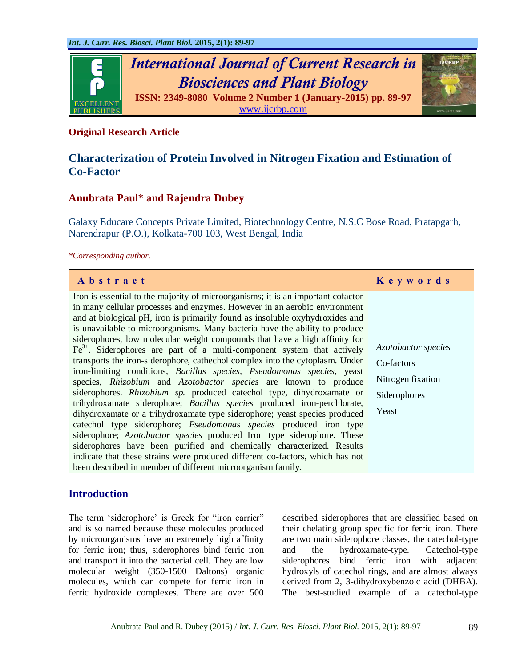

## **Original Research Article**

# **Characterization of Protein Involved in Nitrogen Fixation and Estimation of Co-Factor**

## **Anubrata Paul\* and Rajendra Dubey**

Galaxy Educare Concepts Private Limited, Biotechnology Centre, N.S.C Bose Road, Pratapgarh, Narendrapur (P.O.), Kolkata-700 103, West Bengal, India

*\*Corresponding author.*

| Abstract                                                                                                                                                                                                                                                                                                                                                                                                                                                                                                                                                                                                                                                                                                                                                                                                                                                                                                                                                                                                                                                                                                   | Keywords                                                                        |
|------------------------------------------------------------------------------------------------------------------------------------------------------------------------------------------------------------------------------------------------------------------------------------------------------------------------------------------------------------------------------------------------------------------------------------------------------------------------------------------------------------------------------------------------------------------------------------------------------------------------------------------------------------------------------------------------------------------------------------------------------------------------------------------------------------------------------------------------------------------------------------------------------------------------------------------------------------------------------------------------------------------------------------------------------------------------------------------------------------|---------------------------------------------------------------------------------|
| Iron is essential to the majority of microorganisms; it is an important cofactor<br>in many cellular processes and enzymes. However in an aerobic environment<br>and at biological pH, iron is primarily found as insoluble oxyhydroxides and<br>is unavailable to microorganisms. Many bacteria have the ability to produce<br>siderophores, low molecular weight compounds that have a high affinity for<br>$Fe3+$ . Siderophores are part of a multi-component system that actively<br>transports the iron-siderophore, cathechol complex into the cytoplasm. Under<br>iron-limiting conditions, Bacillus species, Pseudomonas species, yeast<br>species, Rhizobium and Azotobactor species are known to produce<br>siderophores. Rhizobium sp. produced catechol type, dihydroxamate or<br>trihydroxamate siderophore; Bacillus species produced iron-perchlorate,<br>dihydroxamate or a trihydroxamate type siderophore; yeast species produced<br>catechol type siderophore; <i>Pseudomonas species</i> produced iron type<br>siderophore; Azotobactor species produced Iron type siderophore. These | Azotobactor species<br>Co-factors<br>Nitrogen fixation<br>Siderophores<br>Yeast |
| siderophores have been purified and chemically characterized. Results<br>indicate that these strains were produced different co-factors, which has not<br>been described in member of different microorganism family.                                                                                                                                                                                                                                                                                                                                                                                                                                                                                                                                                                                                                                                                                                                                                                                                                                                                                      |                                                                                 |

## **Introduction**

The term 'siderophore' is Greek for "iron carrier" and is so named because these molecules produced by microorganisms have an extremely high affinity for ferric iron; thus, siderophores bind ferric iron and transport it into the bacterial cell. They are low molecular weight (350-1500 Daltons) organic molecules, which can compete for ferric iron in ferric hydroxide complexes. There are over 500 described siderophores that are classified based on their chelating group specific for ferric iron. There are two main siderophore classes, the catechol-type and the hydroxamate-type. Catechol-type siderophores bind ferric iron with adjacent hydroxyls of catechol rings, and are almost always derived from 2, 3-dihydroxybenzoic acid (DHBA). The best-studied example of a catechol-type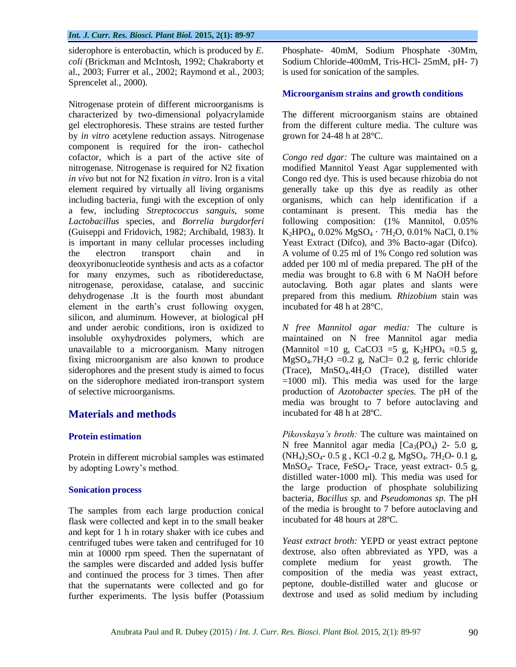siderophore is enterobactin, which is produced by *E. coli* (Brickman and McIntosh, 1992; Chakraborty et al., 2003; Furrer et al., 2002; Raymond et al., 2003; Sprencelet al., 2000).

Nitrogenase protein of different microorganisms is characterized by two-dimensional polyacrylamide gel electrophoresis. These strains are tested further by *in vitro* acetylene reduction assays. Nitrogenase component is required for the iron- cathechol cofactor, which is a part of the active site of nitrogenase. Nitrogenase is required for N2 fixation *in vivo* but not for N2 fixation *in vitro*. Iron is a vital element required by virtually all living organisms including bacteria, fungi with the exception of only a few, including *Streptococcus sanguis,* some *Lactobacillus* species, and *Borrelia burgdorferi* (Guiseppi and Fridovich, 1982; Archibald, 1983). It is important in many cellular processes including the electron transport chain and in deoxyribonucleotide synthesis and acts as a cofactor for many enzymes, such as ribotidereductase, nitrogenase, peroxidase, catalase, and succinic dehydrogenase .It is the fourth most abundant element in the earth"s crust following oxygen, silicon, and aluminum. However, at biological pH and under aerobic conditions, iron is oxidized to insoluble oxyhydroxides polymers, which are unavailable to a microorganism. Many nitrogen fixing microorganism are also known to produce siderophores and the present study is aimed to focus on the siderophore mediated iron-transport system of selective microorganisms*.*

## **Materials and methods**

### **Protein estimation**

Protein in different microbial samples was estimated by adopting Lowry"s method.

### **Sonication process**

The samples from each large production conical flask were collected and kept in to the small beaker and kept for 1 h in rotary shaker with ice cubes and centrifuged tubes were taken and centrifuged for 10 min at 10000 rpm speed. Then the supernatant of the samples were discarded and added lysis buffer and continued the process for 3 times. Then after that the supernatants were collected and go for further experiments. The lysis buffer (Potassium Phosphate- 40mM, Sodium Phosphate -30Mm, Sodium Chloride-400mM, Tris-HCl- 25mM, pH- 7) is used for sonication of the samples.

### **Microorganism strains and growth conditions**

The different microorganism stains are obtained from the different culture media. The culture was grown for 24-48 h at 28°C.

*Congo red dgar:* The culture was maintained on a modified Mannitol Yeast Agar supplemented with Congo red dye. This is used because rhizobia do not generally take up this dye as readily as other organisms, which can help identification if a contaminant is present. This media has the following composition: (1% Mannitol, 0.05%  $K_2HPO_4$ , 0.02%  $MgSO_4 \cdot 7H_2O$ , 0.01% NaCl, 0.1% Yeast Extract (Difco), and 3% Bacto-agar (Difco). A volume of 0.25 ml of 1% Congo red solution was added per 100 ml of media prepared. The pH of the media was brought to 6.8 with 6 M NaOH before autoclaving. Both agar plates and slants were prepared from this medium. *Rhizobium* stain was incubated for 48 h at 28°C.

*N free Mannitol agar media:* The culture is maintained on N free Mannitol agar media (Mannitol =10 g, CaCO3 =5 g, K<sub>2</sub>HPO<sub>4</sub> =0.5 g,  $MgSO<sub>4</sub>$ .7H<sub>2</sub>O = 0.2 g, NaCl= 0.2 g, ferric chloride (Trace), MnSO4.4H2O (Trace), distilled water  $=1000$  ml). This media was used for the large production of *Azotobacter species.* The pH of the media was brought to 7 before autoclaving and incubated for 48 h at 28ºC.

*Pikovskaya's broth:* The culture was maintained on N free Mannitol agar media  $[Ca_3(PO_4)$  2- 5.0 g,  $(NH_4)_{2}SO_4$ - 0.5 g, KCl -0.2 g, MgSO<sub>4</sub>. 7H<sub>2</sub>O- 0.1 g, MnSO<sub>4</sub>- Trace, FeSO<sub>4</sub>- Trace, yeast extract- 0.5 g, distilled water-1000 ml). This media was used for the large production of phosphate solubilizing bacteria, *Bacillus sp.* and *Pseudomonas sp.* The pH of the media is brought to 7 before autoclaving and incubated for 48 hours at 28ºC.

*Yeast extract broth:* YEPD or yeast extract peptone dextrose, also often abbreviated as YPD, was a complete medium for yeast growth. The composition of the media was yeast extract, peptone, double-distilled water and glucose or dextrose and used as solid medium by including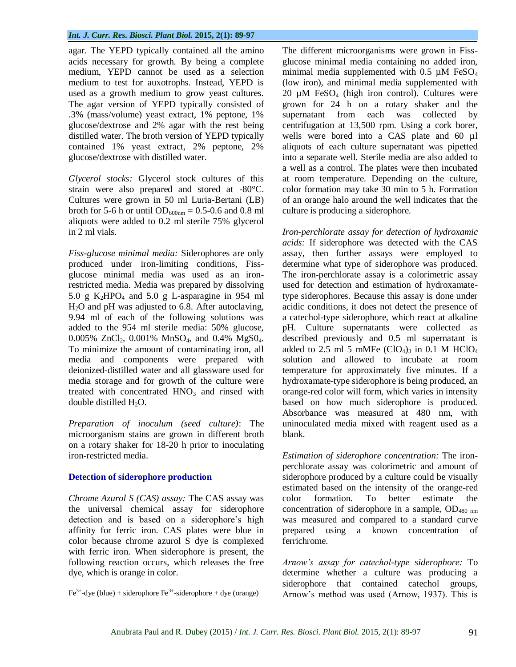agar. The YEPD typically contained all the amino acids necessary for growth. By being a complete medium, YEPD cannot be used as a selection medium to test for auxotrophs. Instead, YEPD is used as a growth medium to grow yeast cultures. The agar version of YEPD typically consisted of .3% (mass/volume) yeast extract, 1% peptone, 1% glucose/dextrose and 2% agar with the rest being distilled water. The broth version of YEPD typically contained 1% yeast extract, 2% peptone, 2% glucose/dextrose with distilled water.

*Glycerol stocks:* Glycerol stock cultures of this strain were also prepared and stored at -80°C. Cultures were grown in 50 ml Luria-Bertani (LB) broth for 5-6 h or until  $OD_{600nm} = 0.5$ -0.6 and 0.8 ml aliquots were added to 0.2 ml sterile 75% glycerol in 2 ml vials.

*Fiss-glucose minimal media:* Siderophores are only produced under iron-limiting conditions, Fissglucose minimal media was used as an ironrestricted media. Media was prepared by dissolving 5.0 g  $K_2HPO_4$  and 5.0 g L-asparagine in 954 ml  $H<sub>2</sub>O$  and pH was adjusted to 6.8. After autoclaving, 9.94 ml of each of the following solutions was added to the 954 ml sterile media: 50% glucose, 0.005% ZnCl<sub>2</sub>, 0.001% MnSO<sub>4</sub>, and 0.4% MgSO<sub>4</sub>. To minimize the amount of contaminating iron, all media and components were prepared with deionized-distilled water and all glassware used for media storage and for growth of the culture were treated with concentrated  $HNO<sub>3</sub>$  and rinsed with double distilled  $H_2O$ .

*Preparation of inoculum (seed culture)*: The microorganism stains are grown in different broth on a rotary shaker for 18-20 h prior to inoculating iron-restricted media.

### **Detection of siderophore production**

*Chrome Azurol S (CAS) assay:* The CAS assay was the universal chemical assay for siderophore detection and is based on a siderophore's high affinity for ferric iron. CAS plates were blue in color because chrome azurol S dye is complexed with ferric iron. When siderophore is present, the following reaction occurs, which releases the free dye, which is orange in color.

 $\text{Fe}^{3+}$ -dye (blue) + siderophore  $\text{Fe}^{3+}$ -siderophore + dye (orange)

The different microorganisms were grown in Fissglucose minimal media containing no added iron, minimal media supplemented with  $0.5 \mu M$  FeSO<sub>4</sub> (low iron), and minimal media supplemented with 20  $\mu$ M FeSO<sub>4</sub> (high iron control). Cultures were grown for 24 h on a rotary shaker and the supernatant from each was collected by centrifugation at 13,500 rpm. Using a cork borer, wells were bored into a CAS plate and 60 µl aliquots of each culture supernatant was pipetted into a separate well. Sterile media are also added to a well as a control. The plates were then incubated at room temperature. Depending on the culture, color formation may take 30 min to 5 h. Formation of an orange halo around the well indicates that the culture is producing a siderophore.

*Iron-perchlorate assay for detection of hydroxamic acids:* If siderophore was detected with the CAS assay, then further assays were employed to determine what type of siderophore was produced. The iron-perchlorate assay is a colorimetric assay used for detection and estimation of hydroxamatetype siderophores. Because this assay is done under acidic conditions, it does not detect the presence of a catechol-type siderophore, which react at alkaline pH. Culture supernatants were collected as described previously and 0.5 ml supernatant is added to 2.5 ml 5 mMFe  $(CIO<sub>4</sub>)<sub>3</sub>$  in 0.1 M HClO<sub>4</sub> solution and allowed to incubate at room temperature for approximately five minutes. If a hydroxamate-type siderophore is being produced, an orange-red color will form, which varies in intensity based on how much siderophore is produced. Absorbance was measured at 480 nm, with uninoculated media mixed with reagent used as a blank.

*Estimation of siderophore concentration:* The ironperchlorate assay was colorimetric and amount of siderophore produced by a culture could be visually estimated based on the intensity of the orange-red color formation. To better estimate the concentration of siderophore in a sample,  $OD_{480 \text{ nm}}$ was measured and compared to a standard curve prepared using a known concentration of ferrichrome.

*Arnow's assay for catechol-type siderophore:* To determine whether a culture was producing a siderophore that contained catechol groups, Arnow"s method was used (Arnow, 1937). This is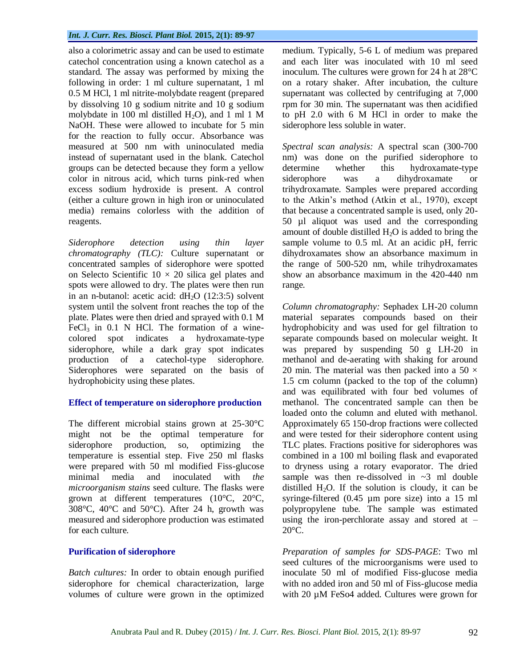also a colorimetric assay and can be used to estimate catechol concentration using a known catechol as a standard. The assay was performed by mixing the following in order: 1 ml culture supernatant, 1 ml 0.5 M HCl, 1 ml nitrite-molybdate reagent (prepared by dissolving 10 g sodium nitrite and 10 g sodium molybdate in 100 ml distilled  $H_2O$ ), and 1 ml 1 M NaOH. These were allowed to incubate for 5 min for the reaction to fully occur. Absorbance was measured at 500 nm with uninoculated media instead of supernatant used in the blank. Catechol groups can be detected because they form a yellow color in nitrous acid, which turns pink-red when excess sodium hydroxide is present. A control (either a culture grown in high iron or uninoculated media) remains colorless with the addition of reagents.

*Siderophore detection using thin layer chromatography (TLC):* Culture supernatant or concentrated samples of siderophore were spotted on Selecto Scientific  $10 \times 20$  silica gel plates and spots were allowed to dry. The plates were then run in an n-butanol: acetic acid:  $dH_2O$  (12:3:5) solvent system until the solvent front reaches the top of the plate. Plates were then dried and sprayed with 0.1 M FeCl<sub>3</sub> in  $0.1$  N HCl. The formation of a winecolored spot indicates a hydroxamate-type siderophore, while a dark gray spot indicates production of a catechol-type siderophore. Siderophores were separated on the basis of hydrophobicity using these plates.

#### **Effect of temperature on siderophore production**

The different microbial stains grown at 25-30°C might not be the optimal temperature for siderophore production, so, optimizing the temperature is essential step. Five 250 ml flasks were prepared with 50 ml modified Fiss-glucose minimal media and inoculated with *the microorganism stains* seed culture. The flasks were grown at different temperatures (10°C, 20°C, 308°C, 40°C and 50°C). After 24 h, growth was measured and siderophore production was estimated for each culture.

### **Purification of siderophore**

*Batch cultures:* In order to obtain enough purified siderophore for chemical characterization, large volumes of culture were grown in the optimized medium. Typically, 5-6 L of medium was prepared and each liter was inoculated with 10 ml seed inoculum. The cultures were grown for 24 h at 28°C on a rotary shaker. After incubation, the culture supernatant was collected by centrifuging at 7,000 rpm for 30 min. The supernatant was then acidified to pH 2.0 with 6 M HCl in order to make the siderophore less soluble in water.

*Spectral scan analysis:* A spectral scan (300-700 nm) was done on the purified siderophore to determine whether this hydroxamate-type siderophore was a dihydroxamate or trihydroxamate. Samples were prepared according to the Atkin"s method (Atkin et al., 1970), except that because a concentrated sample is used, only 20- 50 µl aliquot was used and the corresponding amount of double distilled  $H_2O$  is added to bring the sample volume to 0.5 ml. At an acidic pH, ferric dihydroxamates show an absorbance maximum in the range of 500-520 nm, while trihydroxamates show an absorbance maximum in the 420-440 nm range.

*Column chromatography:* Sephadex LH-20 column material separates compounds based on their hydrophobicity and was used for gel filtration to separate compounds based on molecular weight. It was prepared by suspending 50 g LH-20 in methanol and de-aerating with shaking for around 20 min. The material was then packed into a 50  $\times$ 1.5 cm column (packed to the top of the column) and was equilibrated with four bed volumes of methanol. The concentrated sample can then be loaded onto the column and eluted with methanol. Approximately 65 150-drop fractions were collected and were tested for their siderophore content using TLC plates. Fractions positive for siderophores was combined in a 100 ml boiling flask and evaporated to dryness using a rotary evaporator. The dried sample was then re-dissolved in  $\sim$ 3 ml double distilled  $H_2O$ . If the solution is cloudy, it can be syringe-filtered (0.45 µm pore size) into a 15 ml polypropylene tube. The sample was estimated using the iron-perchlorate assay and stored at  $20^{\circ}$ C.

*Preparation of samples for SDS-PAGE*: Two ml seed cultures of the microorganisms were used to inoculate 50 ml of modified Fiss-glucose media with no added iron and 50 ml of Fiss-glucose media with 20  $\mu$ M FeSo4 added. Cultures were grown for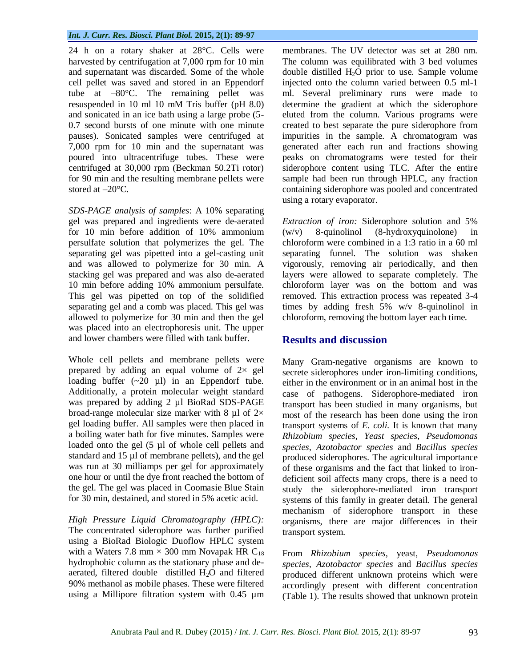24 h on a rotary shaker at 28°C. Cells were harvested by centrifugation at 7,000 rpm for 10 min and supernatant was discarded. Some of the whole cell pellet was saved and stored in an Eppendorf tube at –80°C. The remaining pellet was resuspended in 10 ml 10 mM Tris buffer (pH 8.0) and sonicated in an ice bath using a large probe (5- 0.7 second bursts of one minute with one minute pauses). Sonicated samples were centrifuged at 7,000 rpm for 10 min and the supernatant was poured into ultracentrifuge tubes. These were centrifuged at 30,000 rpm (Beckman 50.2Ti rotor) for 90 min and the resulting membrane pellets were stored at  $-20^{\circ}$ C.

*SDS-PAGE analysis of samples*: A 10% separating gel was prepared and ingredients were de-aerated for 10 min before addition of 10% ammonium persulfate solution that polymerizes the gel. The separating gel was pipetted into a gel-casting unit and was allowed to polymerize for 30 min. A stacking gel was prepared and was also de-aerated 10 min before adding 10% ammonium persulfate. This gel was pipetted on top of the solidified separating gel and a comb was placed. This gel was allowed to polymerize for 30 min and then the gel was placed into an electrophoresis unit. The upper and lower chambers were filled with tank buffer.

Whole cell pellets and membrane pellets were prepared by adding an equal volume of  $2 \times$  gel loading buffer  $(-20 \text{ µ})$  in an Eppendorf tube. Additionally, a protein molecular weight standard was prepared by adding 2 µl BioRad SDS-PAGE broad-range molecular size marker with 8  $\mu$ l of 2 $\times$ gel loading buffer. All samples were then placed in a boiling water bath for five minutes. Samples were loaded onto the gel (5 µl of whole cell pellets and standard and 15 µl of membrane pellets), and the gel was run at 30 milliamps per gel for approximately one hour or until the dye front reached the bottom of the gel. The gel was placed in Coomasie Blue Stain for 30 min, destained, and stored in 5% acetic acid.

*High Pressure Liquid Chromatography (HPLC):* The concentrated siderophore was further purified using a BioRad Biologic Duoflow HPLC system with a Waters 7.8 mm  $\times$  300 mm Novapak HR C<sub>18</sub> hydrophobic column as the stationary phase and deaerated, filtered double distilled  $H_2O$  and filtered 90% methanol as mobile phases. These were filtered using a Millipore filtration system with 0.45 µm membranes. The UV detector was set at 280 nm. The column was equilibrated with 3 bed volumes double distilled  $H_2O$  prior to use. Sample volume injected onto the column varied between 0.5 ml-1 ml. Several preliminary runs were made to determine the gradient at which the siderophore eluted from the column. Various programs were created to best separate the pure siderophore from impurities in the sample. A chromatogram was generated after each run and fractions showing peaks on chromatograms were tested for their siderophore content using TLC. After the entire sample had been run through HPLC, any fraction containing siderophore was pooled and concentrated using a rotary evaporator.

*Extraction of iron:* Siderophore solution and 5% (w/v) 8-quinolinol (8-hydroxyquinolone) in chloroform were combined in a 1:3 ratio in a 60 ml separating funnel. The solution was shaken vigorously, removing air periodically, and then layers were allowed to separate completely. The chloroform layer was on the bottom and was removed. This extraction process was repeated 3-4 times by adding fresh 5% w/v 8-quinolinol in chloroform, removing the bottom layer each time.

# **Results and discussion**

Many Gram-negative organisms are known to secrete siderophores under iron-limiting conditions, either in the environment or in an animal host in the case of pathogens. Siderophore-mediated iron transport has been studied in many organisms, but most of the research has been done using the iron transport systems of *E. coli.* It is known that many *Rhizobium species, Yeast species, Pseudomonas species, Azotobactor species* and *Bacillus species* produced siderophores. The agricultural importance of these organisms and the fact that linked to irondeficient soil affects many crops, there is a need to study the siderophore-mediated iron transport systems of this family in greater detail. The general mechanism of siderophore transport in these organisms, there are major differences in their transport system.

From *Rhizobium species,* yeast, *Pseudomonas species, Azotobactor species* and *Bacillus species* produced different unknown proteins which were accordingly present with different concentration (Table 1). The results showed that unknown protein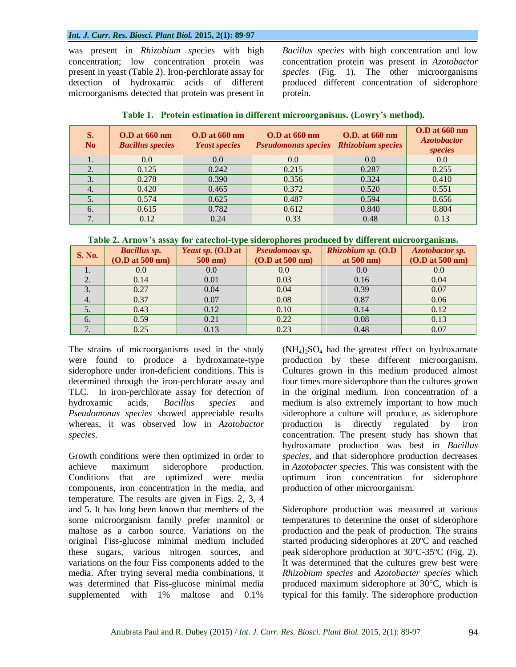was present in *Rhizobium sp*ecies with high concentration; low concentration protein was present in yeast (Table 2). Iron-perchlorate assay for detection of hydroxamic acids of different microorganisms detected that protein was present in *Bacillus species* with high concentration and low concentration protein was present in *Azotobactor species* (Fig. 1). The other microorganisms produced different concentration of siderophore protein.

| S.<br>N <sub>0</sub> | $0.D$ at $660$ nm<br><b>Bacillus species</b> | $0.D$ at $660$ nm<br><b>Yeast species</b> | <b>O.D</b> at 660 nm<br><b>Pseudomonas species</b> | <b>O.D.</b> at 660 nm<br><b>Rhizobium</b> species | $0.D$ at $660$ nm<br><b>Azotobactor</b><br>species |
|----------------------|----------------------------------------------|-------------------------------------------|----------------------------------------------------|---------------------------------------------------|----------------------------------------------------|
| 1.                   | 0.0                                          | 0.0                                       | 0.0                                                | 0.0                                               | 0.0                                                |
| 2.                   | 0.125                                        | 0.242                                     | 0.215                                              | 0.287                                             | 0.255                                              |
| 3.                   | 0.278                                        | 0.390                                     | 0.356                                              | 0.324                                             | 0.410                                              |
| 4.                   | 0.420                                        | 0.465                                     | 0.372                                              | 0.520                                             | 0.551                                              |
| 5.                   | 0.574                                        | 0.625                                     | 0.487                                              | 0.594                                             | 0.656                                              |
| 6.                   | 0.615                                        | 0.782                                     | 0.612                                              | 0.840                                             | 0.804                                              |
| 7.                   | 0.12                                         | 0.24                                      | 0.33                                               | 0.48                                              | 0.13                                               |

| Table 1. Protein estimation in different microorganisms. (Lowry's method). |  |  |  |  |  |  |  |
|----------------------------------------------------------------------------|--|--|--|--|--|--|--|
|----------------------------------------------------------------------------|--|--|--|--|--|--|--|

**Table 2. Arnow's assay for catechol-type siderophores produced by different microorganisms.**

|               |                                        | TOT CHICCHIOT C PO DEMON O PROTECTION PROGRAMMENT CHANGE OUT MOREOLOGIC |                                   |                                             |                                           |  |
|---------------|----------------------------------------|-------------------------------------------------------------------------|-----------------------------------|---------------------------------------------|-------------------------------------------|--|
| <b>S. No.</b> | <b>Bacillus sp.</b><br>(O.D at 500 nm) | <i>Yeast sp.</i> $(0.D at$<br>$500$ nm)                                 | Pseudomoas sp.<br>(O.D at 500 nm) | Rhizobium sp. (O.D<br>at $500 \text{ nm}$ ) | <b>Azotobactor sp.</b><br>(O.D at 500 nm) |  |
| 1.            | 0.0                                    | 0.0                                                                     | 0.0                               | 0.0                                         | 0.0                                       |  |
| 2.            | 0.14                                   | 0.01                                                                    | 0.03                              | 0.16                                        | 0.04                                      |  |
| 3.            | 0.27                                   | 0.04                                                                    | 0.04                              | 0.39                                        | 0.07                                      |  |
| 4.            | 0.37                                   | 0.07                                                                    | 0.08                              | 0.87                                        | 0.06                                      |  |
| 5.            | 0.43                                   | 0.12                                                                    | 0.10                              | 0.14                                        | 0.12                                      |  |
| 6.            | 0.59                                   | 0.21                                                                    | 0.22                              | 0.08                                        | 0.13                                      |  |
|               | 0.25                                   | 0.13                                                                    | 0.23                              | 0.48                                        | 0.07                                      |  |

The strains of microorganisms used in the study were found to produce a hydroxamate-type siderophore under iron-deficient conditions. This is determined through the iron-perchlorate assay and TLC. In iron-perchlorate assay for detection of hydroxamic acids, *Bacillus species* and *Pseudomonas species* showed appreciable results whereas, it was observed low in *Azotobactor species*.

Growth conditions were then optimized in order to achieve maximum siderophore production. Conditions that are optimized were media components, iron concentration in the media, and temperature. The results are given in Figs. 2, 3, 4 and 5. It has long been known that members of the some microorganism family prefer mannitol or maltose as a carbon source. Variations on the original Fiss-glucose minimal medium included these sugars, various nitrogen sources, and variations on the four Fiss components added to the media. After trying several media combinations, it was determined that Fiss-glucose minimal media supplemented with 1% maltose and 0.1%

 $(NH_4)_2SO_4$  had the greatest effect on hydroxamate production by these different microorganism. Cultures grown in this medium produced almost four times more siderophore than the cultures grown in the original medium. Iron concentration of a medium is also extremely important to how much siderophore a culture will produce, as siderophore production is directly regulated by iron concentration. The present study has shown that hydroxamate production was best in *Bacillus species*, and that siderophore production decreases in *Azotobacter species*. This was consistent with the optimum iron concentration for siderophore production of other microorganism.

Siderophore production was measured at various temperatures to determine the onset of siderophore production and the peak of production. The strains started producing siderophores at 20ºC and reached peak siderophore production at 30ºC-35ºC (Fig. 2). It was determined that the cultures grew best were *Rhizobium species* and *Azotobacter species* which produced maximum siderophore at 30°C, which is typical for this family. The siderophore production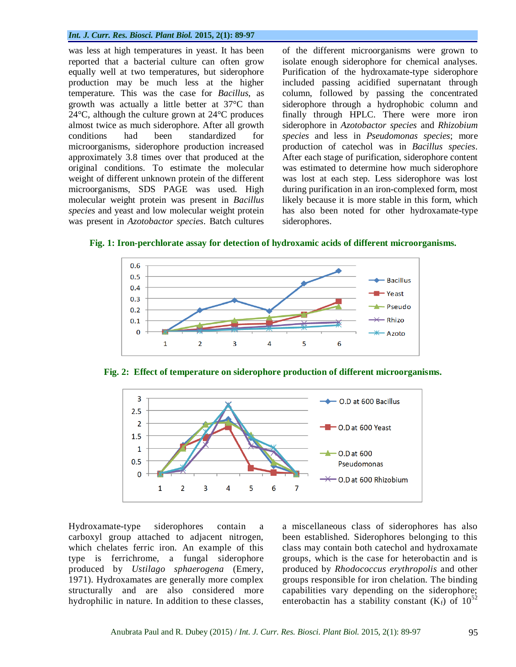was less at high temperatures in yeast. It has been reported that a bacterial culture can often grow equally well at two temperatures, but siderophore production may be much less at the higher temperature. This was the case for *Bacillus*, as growth was actually a little better at 37°C than  $24^{\circ}$ C, although the culture grown at  $24^{\circ}$ C produces almost twice as much siderophore. After all growth conditions had been standardized for microorganisms, siderophore production increased approximately 3.8 times over that produced at the original conditions. To estimate the molecular weight of different unknown protein of the different microorganisms, SDS PAGE was used. High molecular weight protein was present in *Bacillus species* and yeast and low molecular weight protein was present in *Azotobactor species*. Batch cultures of the different microorganisms were grown to isolate enough siderophore for chemical analyses. Purification of the hydroxamate-type siderophore included passing acidified supernatant through column, followed by passing the concentrated siderophore through a hydrophobic column and finally through HPLC. There were more iron siderophore in *Azotobactor species* and *Rhizobium species* and less in *Pseudomonas species*; more production of catechol was in *Bacillus species*. After each stage of purification, siderophore content was estimated to determine how much siderophore was lost at each step. Less siderophore was lost during purification in an iron-complexed form, most likely because it is more stable in this form, which has also been noted for other hydroxamate-type siderophores.

#### **Fig. 1: Iron-perchlorate assay for detection of hydroxamic acids of different microorganisms.**



**Fig. 2: Effect of temperature on siderophore production of different microorganisms.**



Hydroxamate-type siderophores contain a carboxyl group attached to adjacent nitrogen, which chelates ferric iron. An example of this type is ferrichrome, a fungal siderophore produced by *Ustilago sphaerogena* (Emery, 1971). Hydroxamates are generally more complex structurally and are also considered more hydrophilic in nature. In addition to these classes, a miscellaneous class of siderophores has also been established. Siderophores belonging to this class may contain both catechol and hydroxamate groups, which is the case for heterobactin and is produced by *Rhodococcus erythropolis* and other groups responsible for iron chelation. The binding capabilities vary depending on the siderophore; enterobactin has a stability constant (Kf) of  $10^{52}$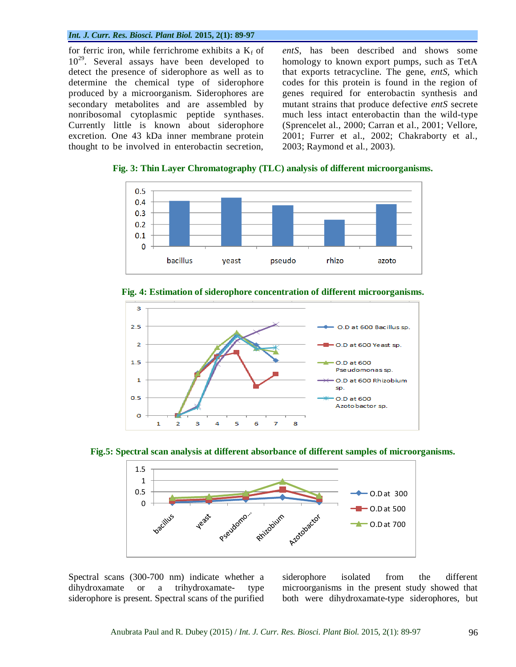for ferric iron, while ferrichrome exhibits a  $K_f$  of 10<sup>29</sup>. Several assays have been developed to detect the presence of siderophore as well as to determine the chemical type of siderophore produced by a microorganism. Siderophores are secondary metabolites and are assembled by nonribosomal cytoplasmic peptide synthases. Currently little is known about siderophore excretion. One 43 kDa inner membrane protein thought to be involved in enterobactin secretion, *entS*, has been described and shows some homology to known export pumps, such as TetA that exports tetracycline. The gene, *entS,* which codes for this protein is found in the region of genes required for enterobactin synthesis and mutant strains that produce defective *entS* secrete much less intact enterobactin than the wild-type (Sprencelet al., 2000; Carran et al., 2001; Vellore, 2001; Furrer et al., 2002; Chakraborty et al., 2003; Raymond et al., 2003).

**Fig. 3: Thin Layer Chromatography (TLC) analysis of different microorganisms.**





**Fig. 4: Estimation of siderophore concentration of different microorganisms.**





Spectral scans (300-700 nm) indicate whether a dihydroxamate or a trihydroxamate- type siderophore is present. Spectral scans of the purified siderophore isolated from the different microorganisms in the present study showed that both were dihydroxamate-type siderophores, but